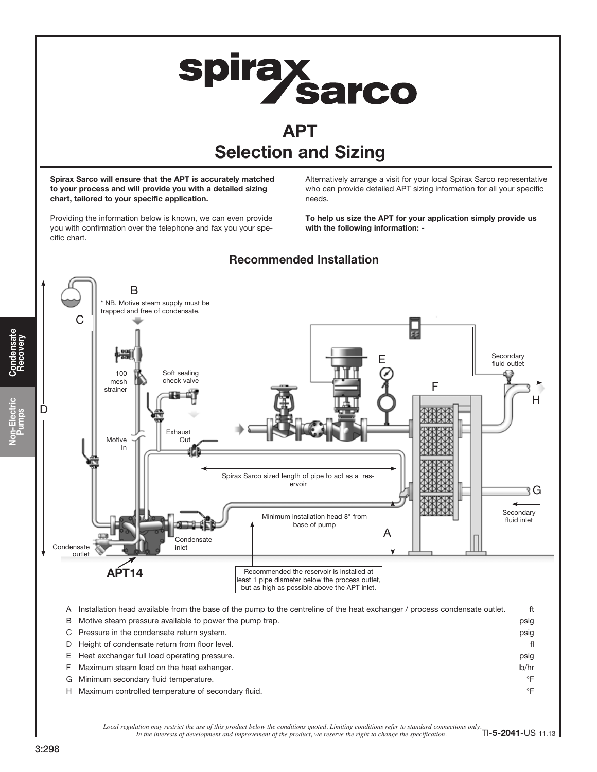

Local regulation may restrict the use of this product below the conditions quoted. Limiting conditions refer to standard connections only.<br>In the interests of development and improvement of the product, we reserve the righ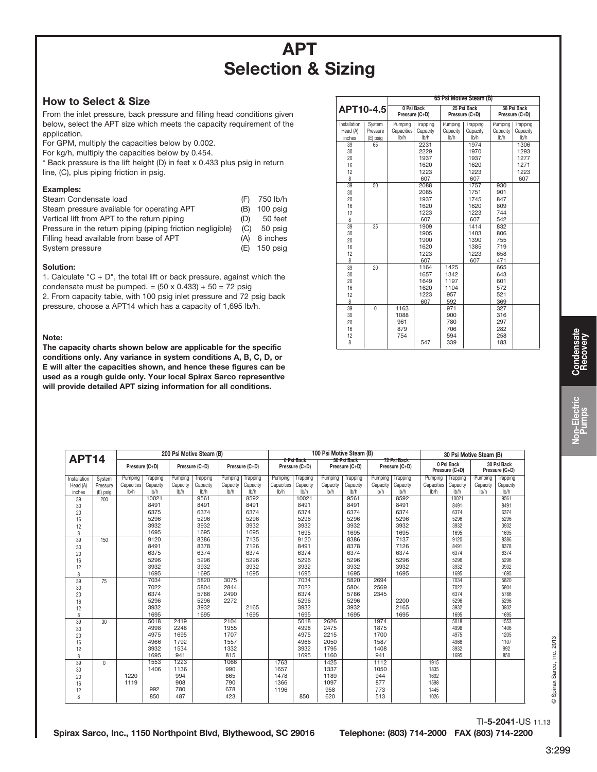# APT Selection & Sizing

## How to Select & Size

From the inlet pressure, back pressure and filling head conditions given below, select the APT size which meets the capacity requirement of the application.

For GPM, multiply the capacities below by 0.002.

For kg/h, multiply the capacities below by 0.454.

\* Back pressure is the lift height (D) in feet x 0.433 plus psig in return line, (C), plus piping friction in psig.

### Examples:

| Steam Condensate load                                      | (F) | 750 lb/h       |
|------------------------------------------------------------|-----|----------------|
| Steam pressure available for operating APT                 |     | (B) 100 psig   |
| Vertical lift from APT to the return piping                | (D) | 50 feet        |
| Pressure in the return piping (piping friction negligible) | (C) | 50 psig        |
| Filling head available from base of APT                    | (A) | 8 inches       |
| System pressure                                            |     | $(E)$ 150 psig |

### Solution:

1. Calculate "C  $+$  D", the total lift or back pressure, against which the condensate must be pumped. =  $(50 \times 0.433) + 50 = 72$  psig

2. From capacity table, with 100 psig inlet pressure and 72 psig back pressure, choose a APT14 which has a capacity of 1,695 lb/h.

#### Note:

The capacity charts shown below are applicable for the specific conditions only. Any variance in system conditions A, B, C, D, or E will alter the capacities shown, and hence these figures can be used as a rough guide only. Your local Spirax Sarco representive will provide detailed APT sizing information for all conditions.

|                                          |                                      |                                   | 65 Psi Motive Steam (B)                      |                                            |                                              |                                        |                                              |  |  |  |  |  |  |  |  |  |
|------------------------------------------|--------------------------------------|-----------------------------------|----------------------------------------------|--------------------------------------------|----------------------------------------------|----------------------------------------|----------------------------------------------|--|--|--|--|--|--|--|--|--|
| APT10-4.5                                |                                      | 0 Psi Back<br>Pressure (C+D)      |                                              |                                            | 25 Psi Back<br>Pressure (C+D)                | 58 Psi Back<br>Pressure (C+D)          |                                              |  |  |  |  |  |  |  |  |  |
| Installation<br>Head (A)<br>inches<br>39 | System<br>Pressure<br>(E) psig<br>65 | Pumping<br>Capacities<br>lb/h     | <b>I</b> rapping<br>Capacity<br>lb/h<br>2231 | Pumping<br>Capacity<br>lb/h                | <b>I</b> rapping<br>Capacity<br>lb/h<br>1974 | Pumping<br>Capacity<br>lb/h            | <b>I</b> rapping<br>Capacity<br>lb/h<br>1306 |  |  |  |  |  |  |  |  |  |
| 30<br>20<br>16<br>12<br>8                |                                      |                                   | 2229<br>1937<br>1620<br>1223<br>607          |                                            | 1970<br>1937<br>1620<br>1223<br>607          |                                        | 1293<br>1277<br>1271<br>1223<br>607          |  |  |  |  |  |  |  |  |  |
| 39<br>30<br>20<br>16<br>12<br>8          | 50                                   |                                   | 2088<br>2085<br>1937<br>1620<br>1223<br>607  |                                            | 1757<br>1751<br>1745<br>1620<br>1223<br>607  | 930<br>901<br>847<br>809<br>744<br>542 |                                              |  |  |  |  |  |  |  |  |  |
| 39<br>30<br>20<br>16<br>12<br>8          | 35                                   |                                   | 1909<br>1905<br>1900<br>1620<br>1223<br>607  |                                            | 1414<br>1403<br>1390<br>1385<br>1223<br>607  | 832<br>806<br>755<br>719<br>658<br>471 |                                              |  |  |  |  |  |  |  |  |  |
| 39<br>30<br>20<br>16<br>12<br>8          | 20                                   |                                   | 1164<br>1657<br>1649<br>1620<br>1223<br>607  | 1425<br>1342<br>1197<br>1104<br>957<br>592 |                                              | 665<br>643<br>601<br>572<br>521<br>369 |                                              |  |  |  |  |  |  |  |  |  |
| 39<br>30<br>20<br>16<br>12<br>8          | $\Omega$                             | 1163<br>1088<br>961<br>879<br>754 | 547                                          | 971<br>900<br>780<br>706<br>594<br>339     |                                              | 327<br>316<br>297<br>282<br>258<br>183 |                                              |  |  |  |  |  |  |  |  |  |

|              |                | 200 Psi Motive Steam (B) |          |                |          |                |          |            |                              | 100 Psi Motive Steam (B) |                               | 30 Psi Motive Steam (B) |                               |            |                              |          |                               |  |  |
|--------------|----------------|--------------------------|----------|----------------|----------|----------------|----------|------------|------------------------------|--------------------------|-------------------------------|-------------------------|-------------------------------|------------|------------------------------|----------|-------------------------------|--|--|
| <b>APT14</b> | Pressure (C+D) |                          |          | Pressure (C+D) |          | Pressure (C+D) |          |            | 0 Psi Back<br>Pressure (C+D) |                          | 30 Psi Back<br>Pressure (C+D) |                         | 72 Psi Back<br>Pressure (C+D) |            | 0 Psi Back<br>Pressure (C+D) |          | 30 Psi Back<br>Pressure (C+D) |  |  |
| Installation | System         | Pumping                  | Trapping | Pumping        | Trapping | Pumping        | Trapping | Pumping    | Trapping                     | Pumping                  | Trapping                      | Pumping                 | Trapping                      | Pumping    | Trapping                     | Pumping  | Trapping                      |  |  |
| Head (A)     | Pressure       | Capacities               | Capacity | Capacity       | Capacity | Capacity       | Capacity | Capacities | Capacity                     | Capacity                 | Capacity                      | Capacity                | Capacity                      | Capacities | Capacity                     | Capacity | Capacity                      |  |  |
| inches       | (E) psig       | lb/h                     | lb/h     | lb/h           | lb/h     | lb/h           | lb/h     | lb/h       | lb/h                         | lb/h                     | lb/h                          | lb/h                    | lb/h                          | lb/h       | lb/h                         | lb/h     | lb/h                          |  |  |
| 39           | 200            |                          | 10021    |                | 9561     |                | 8592     |            | 10021                        |                          | 9561                          |                         | 8592                          |            | 10021                        |          | 9561                          |  |  |
| 30           |                |                          | 8491     |                | 8491     |                | 8491     |            | 8491                         |                          | 8491                          |                         | 8491                          |            | 8491                         |          | 8491                          |  |  |
| 20           |                |                          | 6375     |                | 6374     |                | 6374     |            | 6374                         |                          | 6374                          |                         | 6374                          |            | 6374                         |          | 6374                          |  |  |
| 16           |                |                          | 5296     |                | 5296     |                | 5296     |            | 5296                         |                          | 5296                          |                         | 5296                          |            | 5296                         |          | 5296                          |  |  |
| 12           |                |                          | 3932     |                | 3932     |                | 3932     |            | 3932                         |                          | 3932                          |                         | 3932                          |            | 3932                         |          | 3932                          |  |  |
| 8            |                |                          | 1695     |                | 1695     |                | 1695     |            | 1695                         |                          | 1695                          |                         | 1695                          |            | 1695                         |          | 1695                          |  |  |
| 39           | 150            |                          | 9120     |                | 8386     |                | 7135     |            | 9120                         |                          | 8386                          |                         | 7137                          |            | 9120                         |          | 8386                          |  |  |
| 30           |                |                          | 8491     |                | 8378     |                | 7126     |            | 8491                         |                          | 8378                          |                         | 7126                          |            | 8491                         |          | 8378                          |  |  |
| 20           |                |                          | 6375     |                | 6374     |                | 6374     |            | 6374                         |                          | 6374                          |                         | 6374                          |            | 6374                         |          | 6374                          |  |  |
| 16           |                |                          | 5296     |                | 5296     |                | 5296     |            | 5296                         |                          | 5296                          |                         | 5296                          |            | 5296                         |          | 5296                          |  |  |
| 12           |                |                          | 3932     |                | 3932     |                | 3932     |            | 3932                         |                          | 3932                          |                         | 3932                          |            | 3932                         |          | 3932                          |  |  |
| 8            |                |                          | 1695     |                | 1695     |                | 1695     |            | 1695                         |                          | 1695                          |                         | 1695                          |            | 1695                         |          | 1695                          |  |  |
| 39           | 75             |                          | 7034     |                | 5820     | 3075           |          |            | 7034                         |                          | 5820                          | 2694                    |                               |            | 7034                         |          | 5820                          |  |  |
| 30           |                |                          | 7022     |                | 5804     | 2844           |          |            | 7022                         |                          | 5804                          | 2569                    |                               |            | 7022                         |          | 5804                          |  |  |
| 20           |                |                          | 6374     |                | 5786     | 2490           |          |            | 6374                         |                          | 5786                          | 2345                    |                               |            | 6374                         |          | 5786                          |  |  |
| 16           |                |                          | 5296     |                | 5296     | 2272           |          |            | 5296                         |                          | 5296                          |                         | 2200                          |            | 5296                         |          | 5296                          |  |  |
| 12           |                |                          | 3932     |                | 3932     |                | 2165     |            | 3932                         |                          | 3932                          |                         | 2165                          |            | 3932                         |          | 3932                          |  |  |
| 8            |                |                          | 1695     |                | 1695     |                | 1695     |            | 1695                         |                          | 1695                          |                         | 1695                          |            | 1695                         |          | 1695                          |  |  |
| 39           | 30             |                          | 5018     | 2419           |          | 2104           |          |            | 5018                         | 2626                     |                               | 1974                    |                               |            | 5018                         |          | 1553                          |  |  |
| 30           |                |                          | 4998     | 2248           |          | 1955           |          |            | 4998                         | 2475                     |                               | 1875                    |                               |            | 4998                         |          | 1406                          |  |  |
| 20           |                |                          | 4975     | 1695           |          | 1707           |          |            | 4975                         | 2215                     |                               | 1700                    |                               |            | 4975                         |          | 1205                          |  |  |
| 16           |                |                          | 4966     | 1792           |          | 1557           |          |            | 4966                         | 2050                     |                               | 1587                    |                               |            | 4966                         |          | 1107                          |  |  |
| 12           |                |                          | 3932     | 1534           |          | 1332           |          |            | 3932                         | 1795                     |                               | 1408                    |                               |            | 3932                         |          | 992                           |  |  |
| 8            |                |                          | 1695     | 941            |          | 815            |          |            | 1695                         | 1160                     |                               | 941                     |                               |            | 1695                         |          | 850                           |  |  |
| 39           | $\mathbf{0}$   |                          | 1553     | 1223           |          | 1066           |          | 1763       |                              | 1425                     |                               | 1112                    |                               | 1915       |                              |          |                               |  |  |
| 30           |                |                          | 1406     | 1136           |          | 990            |          | 1657       |                              | 1337                     |                               | 1050                    |                               | 1835       |                              |          |                               |  |  |
| 20           |                | 1220                     |          | 994            |          | 865            |          | 1478       |                              | 1189                     |                               | 944                     |                               | 1692       |                              |          |                               |  |  |
| 16           |                | 1119                     |          | 908            |          | 790            |          | 1366       |                              | 1097                     |                               | 877                     |                               | 1598       |                              |          |                               |  |  |
| 12           |                |                          | 992      | 780            |          | 678            |          | 1196       |                              | 958                      |                               | 773                     |                               | 1445       |                              |          |                               |  |  |
| 8            |                |                          | 850      | 487            |          | 423            |          |            | 850                          | 620                      |                               | 513                     |                               | 1026       |                              |          |                               |  |  |
|              |                |                          |          |                |          |                |          |            |                              |                          |                               |                         |                               |            |                              |          |                               |  |  |

TI-5-2041-US 11.13

Spirax Sarco, Inc., 1150 Northpoint Blvd, Blythewood, SC 29016 Telephone: (803) 714-2000 FAX (803) 714-2200

© Spirax Sarco, Inc. 2013

Spirax Sarco, Inc. 2013

 $\ddot{\circ}$